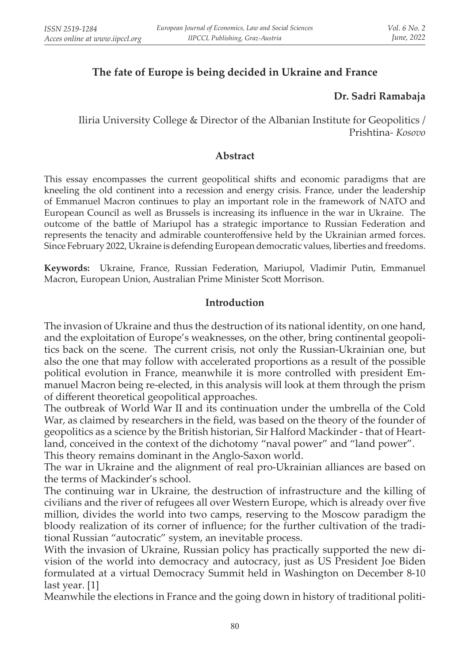# **The fate of Europe is being decided in Ukraine and France**

## **Dr. Sadri Ramabaja**

Iliria University College & Director of the Albanian Institute for Geopolitics / Prishtina*- Kosovo*

#### **Abstract**

This essay encompasses the current geopolitical shifts and economic paradigms that are kneeling the old continent into a recession and energy crisis. France, under the leadership of Emmanuel Macron continues to play an important role in the framework of NATO and European Council as well as Brussels is increasing its influence in the war in Ukraine. The outcome of the battle of Mariupol has a strategic importance to Russian Federation and represents the tenacity and admirable counteroffensive held by the Ukrainian armed forces. Since February 2022, Ukraine is defending European democratic values, liberties and freedoms.

**Keywords:** Ukraine, France, Russian Federation, Mariupol, Vladimir Putin, Emmanuel Macron, European Union, Australian Prime Minister Scott Morrison.

#### **Introduction**

The invasion of Ukraine and thus the destruction of its national identity, on one hand, and the exploitation of Europe's weaknesses, on the other, bring continental geopolitics back on the scene. The current crisis, not only the Russian-Ukrainian one, but also the one that may follow with accelerated proportions as a result of the possible political evolution in France, meanwhile it is more controlled with president Emmanuel Macron being re-elected, in this analysis will look at them through the prism of different theoretical geopolitical approaches.

The outbreak of World War II and its continuation under the umbrella of the Cold War, as claimed by researchers in the field, was based on the theory of the founder of geopolitics as a science by the British historian, Sir Halford Mackinder - that of Heartland, conceived in the context of the dichotomy "naval power" and "land power". This theory remains dominant in the Anglo-Saxon world.

The war in Ukraine and the alignment of real pro-Ukrainian alliances are based on the terms of Mackinder's school.

The continuing war in Ukraine, the destruction of infrastructure and the killing of civilians and the river of refugees all over Western Europe, which is already over five million, divides the world into two camps, reserving to the Moscow paradigm the bloody realization of its corner of influence; for the further cultivation of the traditional Russian "autocratic" system, an inevitable process.

With the invasion of Ukraine, Russian policy has practically supported the new division of the world into democracy and autocracy, just as US President Joe Biden formulated at a virtual Democracy Summit held in Washington on December 8-10 last year. [1]

Meanwhile the elections in France and the going down in history of traditional politi-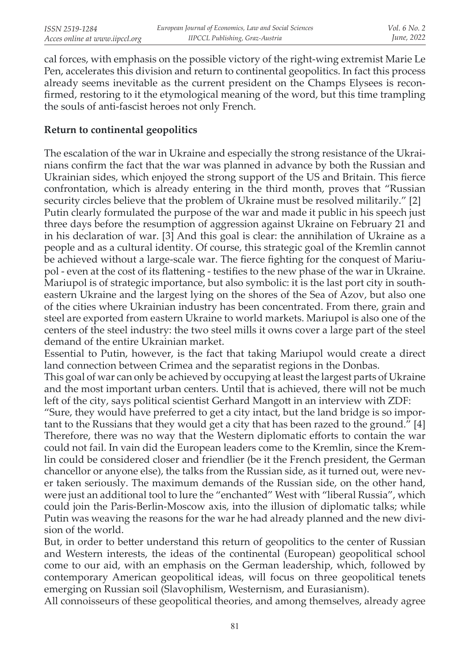cal forces, with emphasis on the possible victory of the right-wing extremist Marie Le Pen, accelerates this division and return to continental geopolitics. In fact this process already seems inevitable as the current president on the Champs Elysees is reconfirmed, restoring to it the etymological meaning of the word, but this time trampling the souls of anti-fascist heroes not only French.

## **Return to continental geopolitics**

The escalation of the war in Ukraine and especially the strong resistance of the Ukrainians confirm the fact that the war was planned in advance by both the Russian and Ukrainian sides, which enjoyed the strong support of the US and Britain. This fierce confrontation, which is already entering in the third month, proves that "Russian security circles believe that the problem of Ukraine must be resolved militarily." [2] Putin clearly formulated the purpose of the war and made it public in his speech just three days before the resumption of aggression against Ukraine on February 21 and in his declaration of war. [3] And this goal is clear: the annihilation of Ukraine as a people and as a cultural identity. Of course, this strategic goal of the Kremlin cannot be achieved without a large-scale war. The fierce fighting for the conquest of Mariupol - even at the cost of its flattening - testifies to the new phase of the war in Ukraine. Mariupol is of strategic importance, but also symbolic: it is the last port city in southeastern Ukraine and the largest lying on the shores of the Sea of Azov, but also one of the cities where Ukrainian industry has been concentrated. From there, grain and steel are exported from eastern Ukraine to world markets. Mariupol is also one of the centers of the steel industry: the two steel mills it owns cover a large part of the steel demand of the entire Ukrainian market.

Essential to Putin, however, is the fact that taking Mariupol would create a direct land connection between Crimea and the separatist regions in the Donbas.

This goal of war can only be achieved by occupying at least the largest parts of Ukraine and the most important urban centers. Until that is achieved, there will not be much left of the city, says political scientist Gerhard Mangott in an interview with ZDF:

"Sure, they would have preferred to get a city intact, but the land bridge is so important to the Russians that they would get a city that has been razed to the ground." [4] Therefore, there was no way that the Western diplomatic efforts to contain the war could not fail. In vain did the European leaders come to the Kremlin, since the Kremlin could be considered closer and friendlier (be it the French president, the German chancellor or anyone else), the talks from the Russian side, as it turned out, were never taken seriously. The maximum demands of the Russian side, on the other hand, were just an additional tool to lure the "enchanted" West with "liberal Russia", which could join the Paris-Berlin-Moscow axis, into the illusion of diplomatic talks; while Putin was weaving the reasons for the war he had already planned and the new division of the world.

But, in order to better understand this return of geopolitics to the center of Russian and Western interests, the ideas of the continental (European) geopolitical school come to our aid, with an emphasis on the German leadership, which, followed by contemporary American geopolitical ideas, will focus on three geopolitical tenets emerging on Russian soil (Slavophilism, Westernism, and Eurasianism).

All connoisseurs of these geopolitical theories, and among themselves, already agree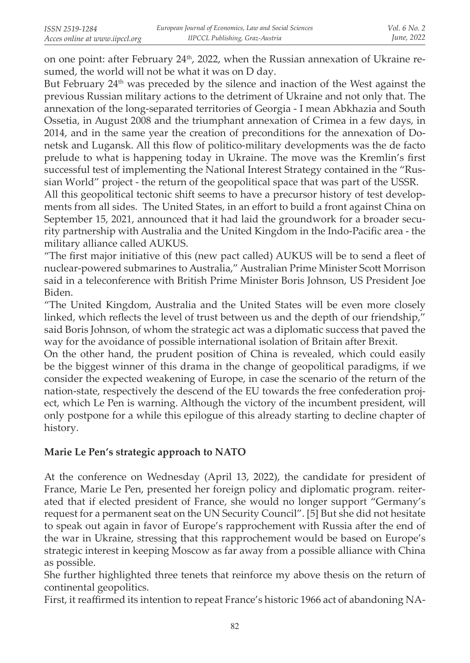on one point: after February  $24<sup>th</sup>$ , 2022, when the Russian annexation of Ukraine resumed, the world will not be what it was on D day.

But February  $24<sup>th</sup>$  was preceded by the silence and inaction of the West against the previous Russian military actions to the detriment of Ukraine and not only that. The annexation of the long-separated territories of Georgia - I mean Abkhazia and South Ossetia, in August 2008 and the triumphant annexation of Crimea in a few days, in 2014, and in the same year the creation of preconditions for the annexation of Donetsk and Lugansk. All this flow of politico-military developments was the de facto prelude to what is happening today in Ukraine. The move was the Kremlin's first successful test of implementing the National Interest Strategy contained in the "Russian World" project - the return of the geopolitical space that was part of the USSR.

All this geopolitical tectonic shift seems to have a precursor history of test developments from all sides. The United States, in an effort to build a front against China on September 15, 2021, announced that it had laid the groundwork for a broader security partnership with Australia and the United Kingdom in the Indo-Pacific area - the military alliance called AUKUS.

"The first major initiative of this (new pact called) AUKUS will be to send a fleet of nuclear-powered submarines to Australia," Australian Prime Minister Scott Morrison said in a teleconference with British Prime Minister Boris Johnson, US President Joe Biden.

"The United Kingdom, Australia and the United States will be even more closely linked, which reflects the level of trust between us and the depth of our friendship," said Boris Johnson, of whom the strategic act was a diplomatic success that paved the way for the avoidance of possible international isolation of Britain after Brexit.

On the other hand, the prudent position of China is revealed, which could easily be the biggest winner of this drama in the change of geopolitical paradigms, if we consider the expected weakening of Europe, in case the scenario of the return of the nation-state, respectively the descend of the EU towards the free confederation project, which Le Pen is warning. Although the victory of the incumbent president, will only postpone for a while this epilogue of this already starting to decline chapter of history.

## **Marie Le Pen's strategic approach to NATO**

At the conference on Wednesday (April 13, 2022), the candidate for president of France, Marie Le Pen, presented her foreign policy and diplomatic program. reiterated that if elected president of France, she would no longer support "Germany's request for a permanent seat on the UN Security Council". [5] But she did not hesitate to speak out again in favor of Europe's rapprochement with Russia after the end of the war in Ukraine, stressing that this rapprochement would be based on Europe's strategic interest in keeping Moscow as far away from a possible alliance with China as possible.

She further highlighted three tenets that reinforce my above thesis on the return of continental geopolitics.

First, it reaffirmed its intention to repeat France's historic 1966 act of abandoning NA-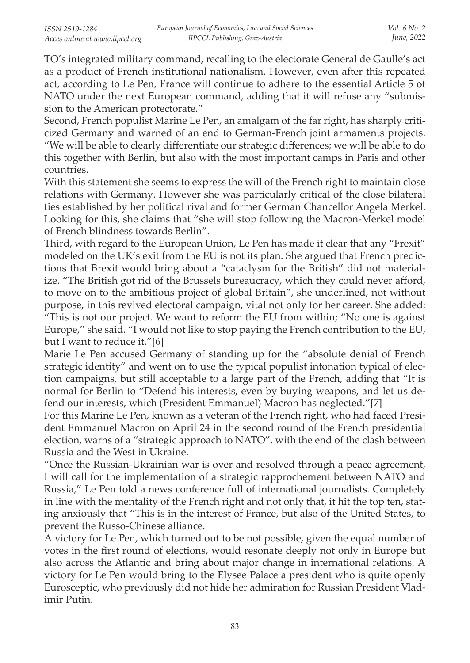TO's integrated military command, recalling to the electorate General de Gaulle's act as a product of French institutional nationalism. However, even after this repeated act, according to Le Pen, France will continue to adhere to the essential Article 5 of NATO under the next European command, adding that it will refuse any "submission to the American protectorate."

Second, French populist Marine Le Pen, an amalgam of the far right, has sharply criticized Germany and warned of an end to German-French joint armaments projects. "We will be able to clearly differentiate our strategic differences; we will be able to do this together with Berlin, but also with the most important camps in Paris and other countries.

With this statement she seems to express the will of the French right to maintain close relations with Germany. However she was particularly critical of the close bilateral ties established by her political rival and former German Chancellor Angela Merkel. Looking for this, she claims that "she will stop following the Macron-Merkel model of French blindness towards Berlin".

Third, with regard to the European Union, Le Pen has made it clear that any "Frexit" modeled on the UK's exit from the EU is not its plan. She argued that French predictions that Brexit would bring about a "cataclysm for the British" did not materialize. "The British got rid of the Brussels bureaucracy, which they could never afford, to move on to the ambitious project of global Britain", she underlined, not without purpose, in this revived electoral campaign, vital not only for her career. She added: "This is not our project. We want to reform the EU from within; "No one is against Europe," she said. "I would not like to stop paying the French contribution to the EU, but I want to reduce it."[6]

Marie Le Pen accused Germany of standing up for the "absolute denial of French strategic identity" and went on to use the typical populist intonation typical of election campaigns, but still acceptable to a large part of the French, adding that "It is normal for Berlin to "Defend his interests, even by buying weapons, and let us defend our interests, which (President Emmanuel) Macron has neglected."[7]

For this Marine Le Pen, known as a veteran of the French right, who had faced President Emmanuel Macron on April 24 in the second round of the French presidential election, warns of a "strategic approach to NATO". with the end of the clash between Russia and the West in Ukraine.

"Once the Russian-Ukrainian war is over and resolved through a peace agreement, I will call for the implementation of a strategic rapprochement between NATO and Russia," Le Pen told a news conference full of international journalists. Completely in line with the mentality of the French right and not only that, it hit the top ten, stating anxiously that "This is in the interest of France, but also of the United States, to prevent the Russo-Chinese alliance.

A victory for Le Pen, which turned out to be not possible, given the equal number of votes in the first round of elections, would resonate deeply not only in Europe but also across the Atlantic and bring about major change in international relations. A victory for Le Pen would bring to the Elysee Palace a president who is quite openly Eurosceptic, who previously did not hide her admiration for Russian President Vladimir Putin.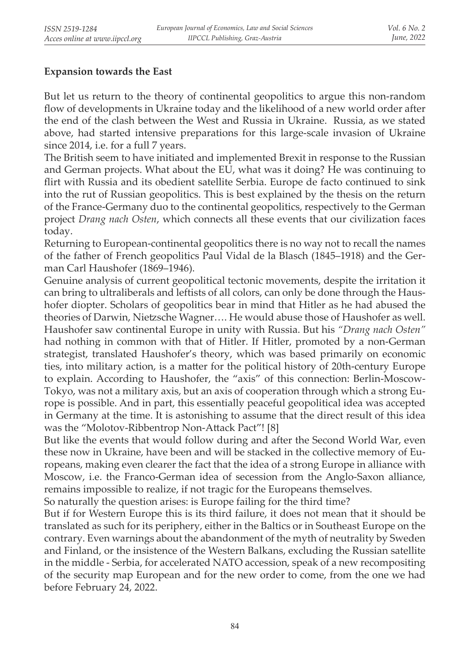# **Expansion towards the East**

But let us return to the theory of continental geopolitics to argue this non-random flow of developments in Ukraine today and the likelihood of a new world order after the end of the clash between the West and Russia in Ukraine. Russia, as we stated above, had started intensive preparations for this large-scale invasion of Ukraine since 2014, i.e. for a full 7 years.

The British seem to have initiated and implemented Brexit in response to the Russian and German projects. What about the EU, what was it doing? He was continuing to flirt with Russia and its obedient satellite Serbia. Europe de facto continued to sink into the rut of Russian geopolitics. This is best explained by the thesis on the return of the France-Germany duo to the continental geopolitics, respectively to the German project *Drang nach Osten*, which connects all these events that our civilization faces today.

Returning to European-continental geopolitics there is no way not to recall the names of the father of French geopolitics Paul Vidal de la Blasch (1845–1918) and the German Carl Haushofer (1869–1946).

Genuine analysis of current geopolitical tectonic movements, despite the irritation it can bring to ultraliberals and leftists of all colors, can only be done through the Haushofer diopter. Scholars of geopolitics bear in mind that Hitler as he had abused the theories of Darwin, Nietzsche Wagner…. He would abuse those of Haushofer as well. Haushofer saw continental Europe in unity with Russia. But his *"Drang nach Osten"* had nothing in common with that of Hitler. If Hitler, promoted by a non-German strategist, translated Haushofer's theory, which was based primarily on economic ties, into military action, is a matter for the political history of 20th-century Europe to explain. According to Haushofer, the "axis" of this connection: Berlin-Moscow-Tokyo, was not a military axis, but an axis of cooperation through which a strong Europe is possible. And in part, this essentially peaceful geopolitical idea was accepted in Germany at the time. It is astonishing to assume that the direct result of this idea was the "Molotov-Ribbentrop Non-Attack Pact"! [8]

But like the events that would follow during and after the Second World War, even these now in Ukraine, have been and will be stacked in the collective memory of Europeans, making even clearer the fact that the idea of a strong Europe in alliance with Moscow, i.e. the Franco-German idea of secession from the Anglo-Saxon alliance, remains impossible to realize, if not tragic for the Europeans themselves.

So naturally the question arises: is Europe failing for the third time?

But if for Western Europe this is its third failure, it does not mean that it should be translated as such for its periphery, either in the Baltics or in Southeast Europe on the contrary. Even warnings about the abandonment of the myth of neutrality by Sweden and Finland, or the insistence of the Western Balkans, excluding the Russian satellite in the middle - Serbia, for accelerated NATO accession, speak of a new recompositing of the security map European and for the new order to come, from the one we had before February 24, 2022.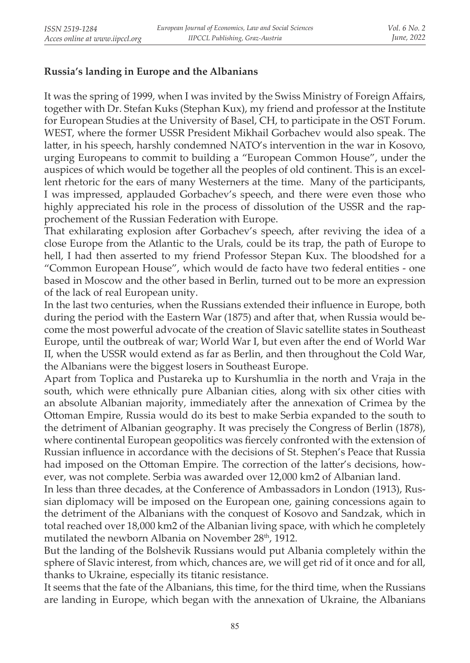## **Russia's landing in Europe and the Albanians**

It was the spring of 1999, when I was invited by the Swiss Ministry of Foreign Affairs, together with Dr. Stefan Kuks (Stephan Kux), my friend and professor at the Institute for European Studies at the University of Basel, CH, to participate in the OST Forum. WEST, where the former USSR President Mikhail Gorbachev would also speak. The latter, in his speech, harshly condemned NATO's intervention in the war in Kosovo, urging Europeans to commit to building a "European Common House", under the auspices of which would be together all the peoples of old continent. This is an excellent rhetoric for the ears of many Westerners at the time. Many of the participants, I was impressed, applauded Gorbachev's speech, and there were even those who highly appreciated his role in the process of dissolution of the USSR and the rapprochement of the Russian Federation with Europe.

That exhilarating explosion after Gorbachev's speech, after reviving the idea of a close Europe from the Atlantic to the Urals, could be its trap, the path of Europe to hell, I had then asserted to my friend Professor Stepan Kux. The bloodshed for a "Common European House", which would de facto have two federal entities - one based in Moscow and the other based in Berlin, turned out to be more an expression of the lack of real European unity.

In the last two centuries, when the Russians extended their influence in Europe, both during the period with the Eastern War (1875) and after that, when Russia would become the most powerful advocate of the creation of Slavic satellite states in Southeast Europe, until the outbreak of war; World War I, but even after the end of World War II, when the USSR would extend as far as Berlin, and then throughout the Cold War, the Albanians were the biggest losers in Southeast Europe.

Apart from Toplica and Pustareka up to Kurshumlia in the north and Vraja in the south, which were ethnically pure Albanian cities, along with six other cities with an absolute Albanian majority, immediately after the annexation of Crimea by the Ottoman Empire, Russia would do its best to make Serbia expanded to the south to the detriment of Albanian geography. It was precisely the Congress of Berlin (1878), where continental European geopolitics was fiercely confronted with the extension of Russian influence in accordance with the decisions of St. Stephen's Peace that Russia had imposed on the Ottoman Empire. The correction of the latter's decisions, however, was not complete. Serbia was awarded over 12,000 km2 of Albanian land.

In less than three decades, at the Conference of Ambassadors in London (1913), Russian diplomacy will be imposed on the European one, gaining concessions again to the detriment of the Albanians with the conquest of Kosovo and Sandzak, which in total reached over 18,000 km2 of the Albanian living space, with which he completely mutilated the newborn Albania on November 28<sup>th</sup>, 1912.

But the landing of the Bolshevik Russians would put Albania completely within the sphere of Slavic interest, from which, chances are, we will get rid of it once and for all, thanks to Ukraine, especially its titanic resistance.

It seems that the fate of the Albanians, this time, for the third time, when the Russians are landing in Europe, which began with the annexation of Ukraine, the Albanians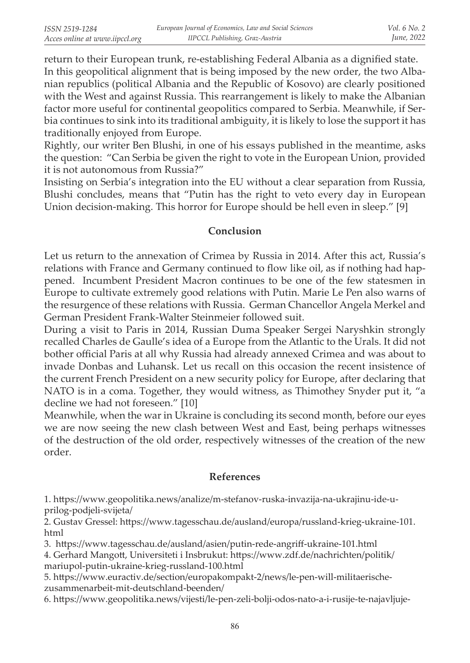return to their European trunk, re-establishing Federal Albania as a dignified state. In this geopolitical alignment that is being imposed by the new order, the two Albanian republics (political Albania and the Republic of Kosovo) are clearly positioned with the West and against Russia. This rearrangement is likely to make the Albanian factor more useful for continental geopolitics compared to Serbia. Meanwhile, if Serbia continues to sink into its traditional ambiguity, it is likely to lose the support it has traditionally enjoyed from Europe.

Rightly, our writer Ben Blushi, in one of his essays published in the meantime, asks the question: "Can Serbia be given the right to vote in the European Union, provided it is not autonomous from Russia?"

Insisting on Serbia's integration into the EU without a clear separation from Russia, Blushi concludes, means that "Putin has the right to veto every day in European Union decision-making. This horror for Europe should be hell even in sleep." [9]

### **Conclusion**

Let us return to the annexation of Crimea by Russia in 2014. After this act, Russia's relations with France and Germany continued to flow like oil, as if nothing had happened. Incumbent President Macron continues to be one of the few statesmen in Europe to cultivate extremely good relations with Putin. Marie Le Pen also warns of the resurgence of these relations with Russia. German Chancellor Angela Merkel and German President Frank-Walter Steinmeier followed suit.

During a visit to Paris in 2014, Russian Duma Speaker Sergei Naryshkin strongly recalled Charles de Gaulle's idea of a Europe from the Atlantic to the Urals. It did not bother official Paris at all why Russia had already annexed Crimea and was about to invade Donbas and Luhansk. Let us recall on this occasion the recent insistence of the current French President on a new security policy for Europe, after declaring that NATO is in a coma. Together, they would witness, as Thimothey Snyder put it, "a decline we had not foreseen." [10]

Meanwhile, when the war in Ukraine is concluding its second month, before our eyes we are now seeing the new clash between West and East, being perhaps witnesses of the destruction of the old order, respectively witnesses of the creation of the new order.

### **References**

1. https://www.geopolitika.news/analize/m-stefanov-ruska-invazija-na-ukrajinu-ide-uprilog-podjeli-svijeta/

2. Gustav Gressel: https://www.tagesschau.de/ausland/europa/russland-krieg-ukraine-101. html

3. https://www.tagesschau.de/ausland/asien/putin-rede-angriff-ukraine-101.html

4. Gerhard Mangott, Universiteti i Insbrukut: https://www.zdf.de/nachrichten/politik/ mariupol-putin-ukraine-krieg-russland-100.html

5. https://www.euractiv.de/section/europakompakt-2/news/le-pen-will-militaerischezusammenarbeit-mit-deutschland-beenden/

6. https://www.geopolitika.news/vijesti/le-pen-zeli-bolji-odos-nato-a-i-rusije-te-najavljuje-